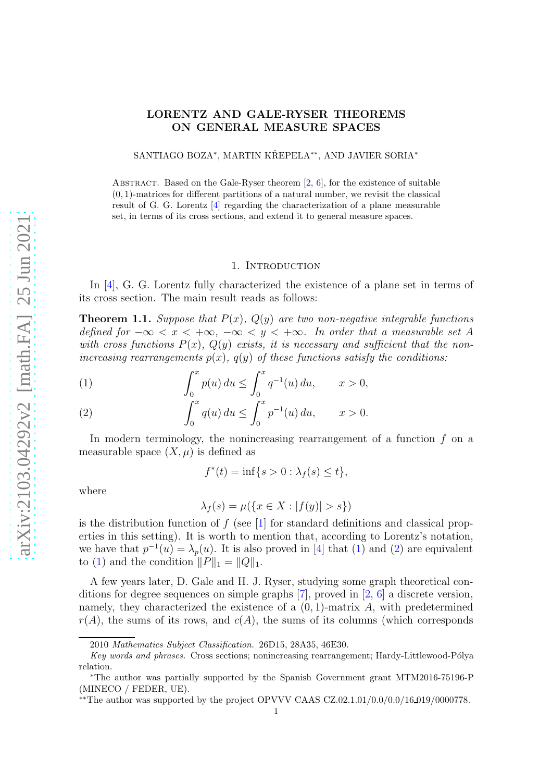# LORENTZ AND GALE-RYSER THEOREMS ON GENERAL MEASURE SPACES

SANTIAGO BOZA\*, MARTIN KŘEPELA\*\*, AND JAVIER SORIA\*

ABSTRACT. Based on the Gale-Ryser theorem  $[2, 6]$  $[2, 6]$ , for the existence of suitable  $(0, 1)$ -matrices for different partitions of a natural number, we revisit the classical result of G. G. Lorentz [\[4\]](#page-18-2) regarding the characterization of a plane measurable set, in terms of its cross sections, and extend it to general measure spaces.

#### 1. INTRODUCTION

In [\[4\]](#page-18-2), G. G. Lorentz fully characterized the existence of a plane set in terms of its cross section. The main result reads as follows:

<span id="page-0-2"></span>**Theorem 1.1.** Suppose that  $P(x)$ ,  $Q(y)$  are two non-negative integrable functions defined for  $-\infty < x < +\infty$ ,  $-\infty < y < +\infty$ . In order that a measurable set A with cross functions  $P(x)$ ,  $Q(y)$  exists, it is necessary and sufficient that the nonincreasing rearrangements  $p(x)$ ,  $q(y)$  of these functions satisfy the conditions:

<span id="page-0-0"></span>(1) 
$$
\int_0^x p(u) du \le \int_0^x q^{-1}(u) du, \qquad x > 0,
$$

<span id="page-0-1"></span>(2) 
$$
\int_0^x q(u) du \le \int_0^x p^{-1}(u) du, \qquad x > 0.
$$

In modern terminology, the nonincreasing rearrangement of a function  $f$  on a measurable space  $(X, \mu)$  is defined as

$$
f^*(t) = \inf\{s > 0 : \lambda_f(s) \le t\},\
$$

where

$$
\lambda_f(s) = \mu(\{x \in X : |f(y)| > s\})
$$

is the distribution function of  $f$  (see [\[1\]](#page-18-3) for standard definitions and classical properties in this setting). It is worth to mention that, according to Lorentz's notation, we have that  $p^{-1}(u) = \lambda_p(u)$ . It is also proved in [\[4\]](#page-18-2) that [\(1\)](#page-0-0) and [\(2\)](#page-0-1) are equivalent to [\(1\)](#page-0-0) and the condition  $||P||_1 = ||Q||_1$ .

A few years later, D. Gale and H. J. Ryser, studying some graph theoretical conditions for degree sequences on simple graphs [\[7\]](#page-18-4), proved in [\[2,](#page-18-0) [6\]](#page-18-1) a discrete version, namely, they characterized the existence of a  $(0, 1)$ -matrix A, with predetermined  $r(A)$ , the sums of its rows, and  $c(A)$ , the sums of its columns (which corresponds

<sup>2010</sup> Mathematics Subject Classification. 26D15, 28A35, 46E30.

Key words and phrases. Cross sections; nonincreasing rearrangement; Hardy-Littlewood-Pólya relation.

<sup>∗</sup>The author was partially supported by the Spanish Government grant MTM2016-75196-P (MINECO / FEDER, UE).

<sup>∗∗</sup>The author was supported by the project OPVVV CAAS CZ.02.1.01/0.0/0.0/16 019/0000778.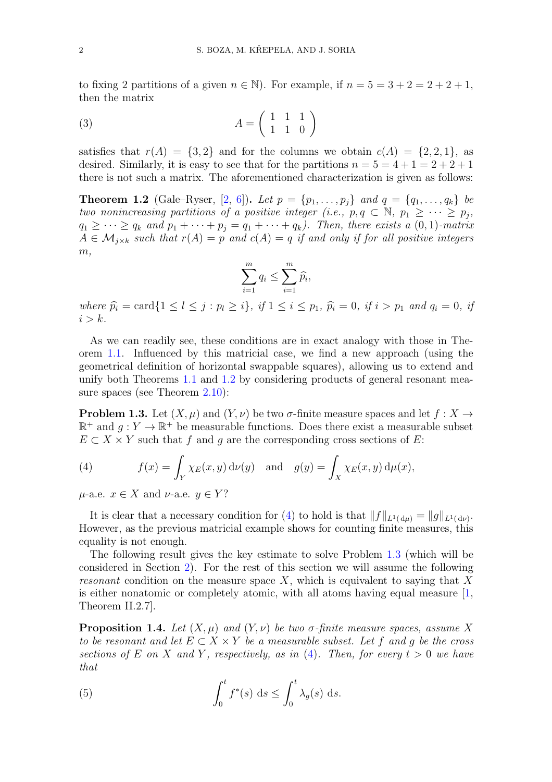to fixing 2 partitions of a given  $n \in \mathbb{N}$ . For example, if  $n = 5 = 3 + 2 = 2 + 2 + 1$ , then the matrix

$$
(3) \qquad \qquad A = \left(\begin{array}{rrr} 1 & 1 & 1 \\ 1 & 1 & 0 \end{array}\right)
$$

satisfies that  $r(A) = \{3, 2\}$  and for the columns we obtain  $c(A) = \{2, 2, 1\}$ , as desired. Similarly, it is easy to see that for the partitions  $n = 5 = 4 + 1 = 2 + 2 + 1$ there is not such a matrix. The aforementioned characterization is given as follows:

<span id="page-1-0"></span>**Theorem 1.2** (Gale–Ryser, [\[2,](#page-18-0) [6\]](#page-18-1)). Let  $p = \{p_1, ..., p_j\}$  and  $q = \{q_1, ..., q_k\}$  be two nonincreasing partitions of a positive integer (i.e.,  $p, q \in \mathbb{N}$ ,  $p_1 \geq \cdots \geq p_j$ ,  $q_1 \geq \cdots \geq q_k$  and  $p_1 + \cdots + p_j = q_1 + \cdots + q_k$ . Then, there exists a  $(0, 1)$ -matrix  $A \in \mathcal{M}_{j \times k}$  such that  $r(A) = p$  and  $c(A) = q$  if and only if for all positive integers  $m,$ 

$$
\sum_{i=1}^{m} q_i \le \sum_{i=1}^{m} \widehat{p}_i,
$$

where  $\widehat{p_i} = \text{card}\{1 \leq l \leq j : p_l \geq i\}, \text{ if } 1 \leq i \leq p_1, \widehat{p_i} = 0, \text{ if } i > p_1 \text{ and } q_i = 0, \text{ if } i > p_2 \}$  $i > k$ .

As we can readily see, these conditions are in exact analogy with those in Theorem [1.1.](#page-0-2) Influenced by this matricial case, we find a new approach (using the geometrical definition of horizontal swappable squares), allowing us to extend and unify both Theorems [1.1](#page-0-2) and [1.2](#page-1-0) by considering products of general resonant mea-sure spaces (see Theorem [2.10\)](#page-9-0):

<span id="page-1-2"></span>**Problem 1.3.** Let  $(X, \mu)$  and  $(Y, \nu)$  be two  $\sigma$ -finite measure spaces and let  $f : X \to Y$  $\mathbb{R}^+$  and  $g: Y \to \mathbb{R}^+$  be measurable functions. Does there exist a measurable subset  $E \subset X \times Y$  such that f and q are the corresponding cross sections of E:

<span id="page-1-1"></span>(4) 
$$
f(x) = \int_Y \chi_E(x, y) d\nu(y) \text{ and } g(y) = \int_X \chi_E(x, y) d\mu(x),
$$

 $u$ -a.e.  $x \in X$  and  $\nu$ -a.e.  $y \in Y$ ?

It is clear that a necessary condition for [\(4\)](#page-1-1) to hold is that  $||f||_{L^1(d\mu)} = ||g||_{L^1(d\nu)}$ . However, as the previous matricial example shows for counting finite measures, this equality is not enough.

The following result gives the key estimate to solve Problem [1.3](#page-1-2) (which will be considered in Section [2\)](#page-5-0). For the rest of this section we will assume the following resonant condition on the measure space  $X$ , which is equivalent to saying that X is either nonatomic or completely atomic, with all atoms having equal measure [\[1,](#page-18-3) Theorem II.2.7].

<span id="page-1-4"></span>**Proposition 1.4.** Let  $(X, \mu)$  and  $(Y, \nu)$  be two  $\sigma$ -finite measure spaces, assume X to be resonant and let  $E \subset X \times Y$  be a measurable subset. Let f and g be the cross sections of E on X and Y, respectively, as in [\(4\)](#page-1-1). Then, for every  $t > 0$  we have that

<span id="page-1-3"></span>(5) 
$$
\int_0^t f^*(s) \, ds \le \int_0^t \lambda_g(s) \, ds.
$$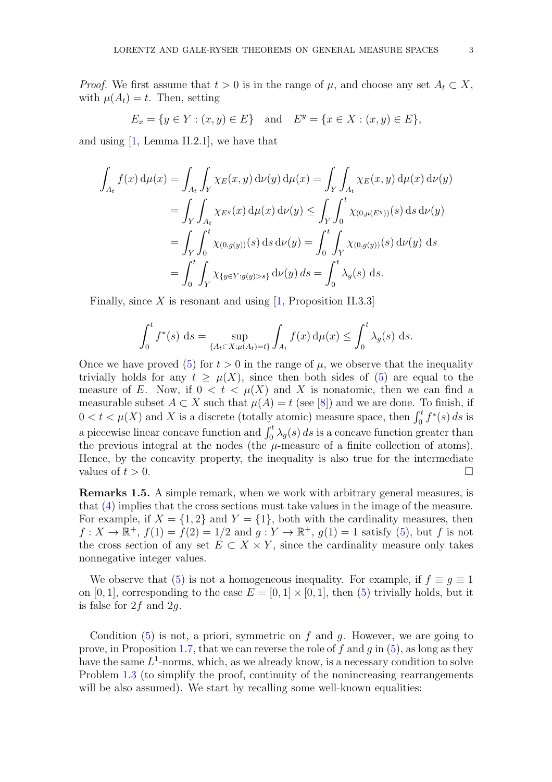*Proof.* We first assume that  $t > 0$  is in the range of  $\mu$ , and choose any set  $A_t \subset X$ , with  $\mu(A_t) = t$ . Then, setting

$$
E_x = \{ y \in Y : (x, y) \in E \} \text{ and } E^y = \{ x \in X : (x, y) \in E \},
$$

and using [\[1,](#page-18-3) Lemma II.2.1], we have that

$$
\int_{A_t} f(x) d\mu(x) = \int_{A_t} \int_Y \chi_E(x, y) d\nu(y) d\mu(x) = \int_Y \int_{A_t} \chi_E(x, y) d\mu(x) d\nu(y)
$$
  
\n
$$
= \int_Y \int_{A_t} \chi_{E^y}(x) d\mu(x) d\nu(y) \le \int_Y \int_0^t \chi_{(0, \mu(E^y))}(s) ds d\nu(y)
$$
  
\n
$$
= \int_Y \int_0^t \chi_{(0, g(y))}(s) ds d\nu(y) = \int_0^t \int_Y \chi_{(0, g(y))}(s) d\nu(y) ds
$$
  
\n
$$
= \int_0^t \int_Y \chi_{\{y \in Y : g(y) > s\}} d\nu(y) ds = \int_0^t \lambda_g(s) ds.
$$

Finally, since X is resonant and using  $[1,$  Proposition II.3.3]

$$
\int_0^t f^*(s) \, ds = \sup_{\{A_t \subset X : \mu(A_t) = t\}} \int_{A_t} f(x) \, d\mu(x) \le \int_0^t \lambda_g(s) \, ds.
$$

Once we have proved [\(5\)](#page-1-3) for  $t > 0$  in the range of  $\mu$ , we observe that the inequality trivially holds for any  $t \geq \mu(X)$ , since then both sides of [\(5\)](#page-1-3) are equal to the measure of E. Now, if  $0 < t < \mu(X)$  and X is nonatomic, then we can find a measurable subset  $A \subset X$  such that  $\mu(A) = t$  (see [\[8\]](#page-18-5)) and we are done. To finish, if  $0 < t < \mu(X)$  and X is a discrete (totally atomic) measure space, then  $\int_0^t f^*(s) ds$  is a piecewise linear concave function and  $\int_0^t \lambda_g(s) ds$  is a concave function greater than the previous integral at the nodes (the  $\mu$ -measure of a finite collection of atoms). Hence, by the concavity property, the inequality is also true for the intermediate values of  $t > 0$ .

Remarks 1.5. A simple remark, when we work with arbitrary general measures, is that [\(4\)](#page-1-1) implies that the cross sections must take values in the image of the measure. For example, if  $X = \{1, 2\}$  and  $Y = \{1\}$ , both with the cardinality measures, then  $f: X \to \mathbb{R}^+, f(1) = f(2) = 1/2$  and  $g: Y \to \mathbb{R}^+, g(1) = 1$  satisfy [\(5\)](#page-1-3), but f is not the cross section of any set  $E \subset X \times Y$ , since the cardinality measure only takes nonnegative integer values.

We observe that [\(5\)](#page-1-3) is not a homogeneous inequality. For example, if  $f \equiv g \equiv 1$ on [0, 1], corresponding to the case  $E = [0, 1] \times [0, 1]$ , then [\(5\)](#page-1-3) trivially holds, but it is false for  $2f$  and  $2q$ .

Condition  $(5)$  is not, a priori, symmetric on f and q. However, we are going to prove, in Proposition [1.7,](#page-3-0) that we can reverse the role of f and q in  $(5)$ , as long as they have the same  $L^1$ -norms, which, as we already know, is a necessary condition to solve Problem [1.3](#page-1-2) (to simplify the proof, continuity of the nonincreasing rearrangements will be also assumed). We start by recalling some well-known equalities: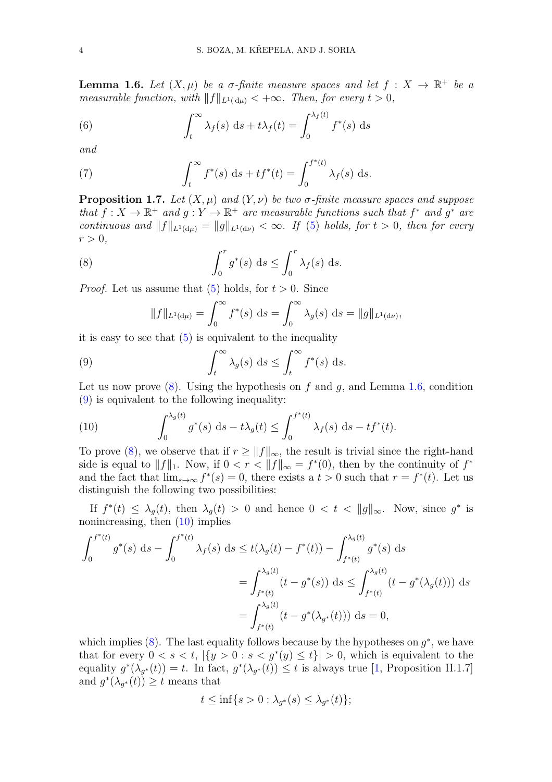<span id="page-3-2"></span>**Lemma 1.6.** Let  $(X, \mu)$  be a  $\sigma$ -finite measure spaces and let  $f : X \to \mathbb{R}^+$  be a measurable function, with  $||f||_{L^1(\mathrm{d}u)} < +\infty$ . Then, for every  $t > 0$ ,

(6) 
$$
\int_{t}^{\infty} \lambda_{f}(s) \, ds + t \lambda_{f}(t) = \int_{0}^{\lambda_{f}(t)} f^{*}(s) \, ds
$$

and

(7) 
$$
\int_t^{\infty} f^*(s) \, ds + t f^*(t) = \int_0^{f^*(t)} \lambda_f(s) \, ds.
$$

<span id="page-3-0"></span>**Proposition 1.7.** Let  $(X, \mu)$  and  $(Y, \nu)$  be two  $\sigma$ -finite measure spaces and suppose that  $f: X \to \mathbb{R}^+$  and  $g: Y \to \mathbb{R}^+$  are measurable functions such that  $f^*$  and  $g^*$  are continuous and  $||f||_{L^1(d\mu)} = ||g||_{L^1(d\nu)} < \infty$ . If [\(5\)](#page-1-3) holds, for  $t > 0$ , then for every  $r > 0$ ,

(8) 
$$
\int_0^r g^*(s) \, ds \le \int_0^r \lambda_f(s) \, ds.
$$

*Proof.* Let us assume that  $(5)$  holds, for  $t > 0$ . Since

<span id="page-3-3"></span><span id="page-3-1"></span>
$$
||f||_{L^{1}(\mathrm{d}\mu)} = \int_{0}^{\infty} f^{*}(s) \, \mathrm{d}s = \int_{0}^{\infty} \lambda_{g}(s) \, \mathrm{d}s = ||g||_{L^{1}(\mathrm{d}\nu)},
$$

it is easy to see that  $(5)$  is equivalent to the inequality

(9) 
$$
\int_t^{\infty} \lambda_g(s) \, ds \leq \int_t^{\infty} f^*(s) \, ds.
$$

Let us now prove  $(8)$ . Using the hypothesis on f and g, and Lemma [1.6,](#page-3-2) condition [\(9\)](#page-3-3) is equivalent to the following inequality:

<span id="page-3-4"></span>(10) 
$$
\int_0^{\lambda_g(t)} g^*(s) \, ds - t \lambda_g(t) \le \int_0^{f^*(t)} \lambda_f(s) \, ds - t f^*(t).
$$

To prove [\(8\)](#page-3-1), we observe that if  $r \geq ||f||_{\infty}$ , the result is trivial since the right-hand side is equal to  $||f||_1$ . Now, if  $0 < r < ||f||_{\infty} = f^*(0)$ , then by the continuity of  $f^*$ and the fact that  $\lim_{s\to\infty} f^*(s) = 0$ , there exists a  $t > 0$  such that  $r = f^*(t)$ . Let us distinguish the following two possibilities:

If  $f^*(t) \leq \lambda_g(t)$ , then  $\lambda_g(t) > 0$  and hence  $0 < t < ||g||_{\infty}$ . Now, since  $g^*$  is nonincreasing, then [\(10\)](#page-3-4) implies

$$
\int_0^{f^*(t)} g^*(s) ds - \int_0^{f^*(t)} \lambda_f(s) ds \le t(\lambda_g(t) - f^*(t)) - \int_{f^*(t)}^{\lambda_g(t)} g^*(s) ds
$$
  
= 
$$
\int_{f^*(t)}^{\lambda_g(t)} (t - g^*(s)) ds \le \int_{f^*(t)}^{\lambda_g(t)} (t - g^*(\lambda_g(t))) ds
$$
  
= 
$$
\int_{f^*(t)}^{\lambda_g(t)} (t - g^*(\lambda_{g^*}(t))) ds = 0,
$$

which implies  $(8)$ . The last equality follows because by the hypotheses on  $g^*$ , we have that for every  $0 < s < t$ ,  $|\{y > 0 : s < g^*(y) \le t\}| > 0$ , which is equivalent to the equality  $g^*(\lambda_{g^*}(t)) = t$ . In fact,  $g^*(\lambda_{g^*}(t)) \leq t$  is always true [\[1,](#page-18-3) Proposition II.1.7] and  $g^*(\lambda_{g^*}(t)) \geq t$  means that

$$
t \le \inf\{s > 0 : \lambda_{g^*}(s) \le \lambda_{g^*}(t)\};
$$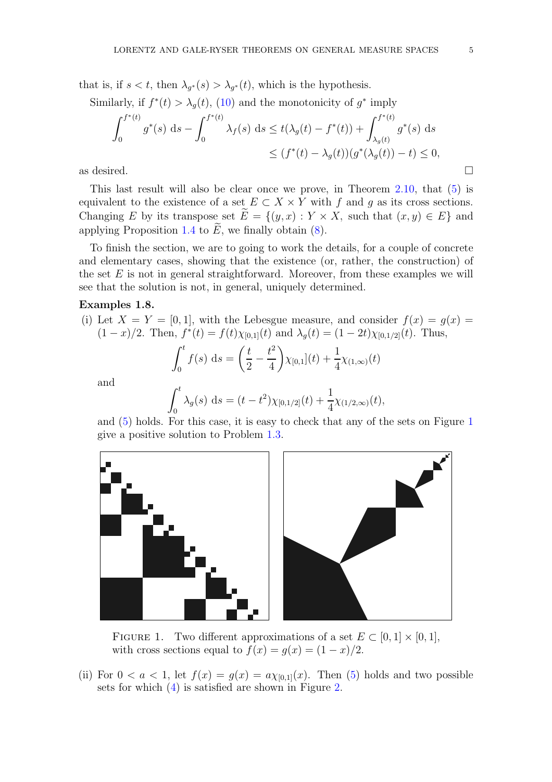that is, if  $s < t$ , then  $\lambda_{g^*}(s) > \lambda_{g^*}(t)$ , which is the hypothesis.

Similarly, if  $f^*(t) > \lambda_g(t)$ , [\(10\)](#page-3-4) and the monotonicity of  $g^*$  imply

$$
\int_0^{f^*(t)} g^*(s) ds - \int_0^{f^*(t)} \lambda_f(s) ds \le t(\lambda_g(t) - f^*(t)) + \int_{\lambda_g(t)}^{f^*(t)} g^*(s) ds
$$
  
 
$$
\le (f^*(t) - \lambda_g(t))(g^*(\lambda_g(t)) - t) \le 0,
$$
  
as desired.

This last result will also be clear once we prove, in Theorem [2.10,](#page-9-0) that [\(5\)](#page-1-3) is equivalent to the existence of a set  $E \subset X \times Y$  with f and g as its cross sections. Changing E by its transpose set  $\widetilde{E} = \{(y, x) : Y \times X$ , such that  $(x, y) \in E\}$  and applying Proposition [1.4](#page-1-4) to  $\widetilde{E}$ , we finally obtain [\(8\)](#page-3-1).

To finish the section, we are to going to work the details, for a couple of concrete and elementary cases, showing that the existence (or, rather, the construction) of the set  $E$  is not in general straightforward. Moreover, from these examples we will see that the solution is not, in general, uniquely determined.

### Examples 1.8.

(i) Let  $X = Y = [0, 1]$ , with the Lebesgue measure, and consider  $f(x) = g(x)$  $(1-x)/2$ . Then,  $f^*(t) = f(t)\chi_{[0,1]}(t)$  and  $\lambda_g(t) = (1-2t)\chi_{[0,1/2]}(t)$ . Thus,

$$
\int_0^t f(s) \, ds = \left(\frac{t}{2} - \frac{t^2}{4}\right) \chi_{[0,1]}(t) + \frac{1}{4} \chi_{(1,\infty)}(t)
$$

and

$$
\int_0^t \lambda_g(s) \, ds = (t - t^2) \chi_{[0,1/2]}(t) + \frac{1}{4} \chi_{(1/2,\infty)}(t),
$$

and [\(5\)](#page-1-3) holds. For this case, it is easy to check that any of the sets on Figure [1](#page-4-0) give a positive solution to Problem [1.3.](#page-1-2)



<span id="page-4-0"></span>FIGURE 1. Two different approximations of a set  $E \subset [0,1] \times [0,1]$ , with cross sections equal to  $f(x) = g(x) = (1 - x)/2$ .

(ii) For  $0 < a < 1$ , let  $f(x) = g(x) = a\chi_{[0,1]}(x)$ . Then [\(5\)](#page-1-3) holds and two possible sets for which [\(4\)](#page-1-1) is satisfied are shown in Figure [2.](#page-5-1)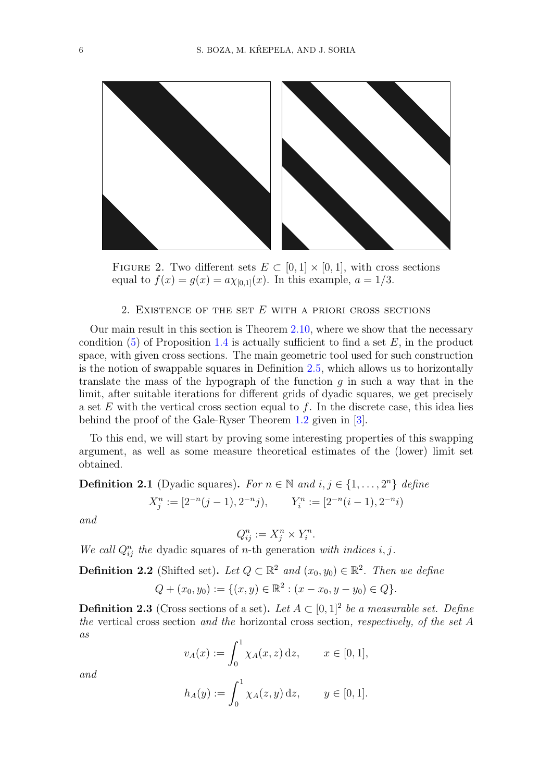

FIGURE 2. Two different sets  $E \subset [0,1] \times [0,1]$ , with cross sections equal to  $f(x) = g(x) = a \chi_{[0,1]}(x)$ . In this example,  $a = 1/3$ .

## <span id="page-5-1"></span>2. EXISTENCE OF THE SET  $E$  with a priori cross sections

<span id="page-5-0"></span>Our main result in this section is Theorem [2.10,](#page-9-0) where we show that the necessary condition  $(5)$  of Proposition [1.4](#page-1-4) is actually sufficient to find a set E, in the product space, with given cross sections. The main geometric tool used for such construction is the notion of swappable squares in Definition [2.5,](#page-6-0) which allows us to horizontally translate the mass of the hypograph of the function q in such a way that in the limit, after suitable iterations for different grids of dyadic squares, we get precisely a set  $E$  with the vertical cross section equal to  $f$ . In the discrete case, this idea lies behind the proof of the Gale-Ryser Theorem [1.2](#page-1-0) given in [\[3\]](#page-18-6).

To this end, we will start by proving some interesting properties of this swapping argument, as well as some measure theoretical estimates of the (lower) limit set obtained.

**Definition 2.1** (Dyadic squares). For  $n \in \mathbb{N}$  and  $i, j \in \{1, ..., 2^n\}$  define

$$
X_j^n := [2^{-n}(j-1), 2^{-n}j), \qquad Y_i^n := [2^{-n}(i-1), 2^{-n}i)
$$

and

$$
Q_{ij}^n := X_j^n \times Y_i^n.
$$

We call  $Q_{ij}^n$  the dyadic squares of n-th generation with indices i, j.

**Definition 2.2** (Shifted set). Let  $Q \subset \mathbb{R}^2$  and  $(x_0, y_0) \in \mathbb{R}^2$ . Then we define

$$
Q + (x_0, y_0) := \{ (x, y) \in \mathbb{R}^2 : (x - x_0, y - y_0) \in Q \}.
$$

**Definition 2.3** (Cross sections of a set). Let  $A \subset [0,1]^2$  be a measurable set. Define the vertical cross section and the horizontal cross section, respectively, of the set A as

$$
v_A(x) := \int_0^1 \chi_A(x, z) \, \mathrm{d}z, \qquad x \in [0, 1],
$$

and

$$
h_A(y) := \int_0^1 \chi_A(z, y) \, \mathrm{d}z, \qquad y \in [0, 1].
$$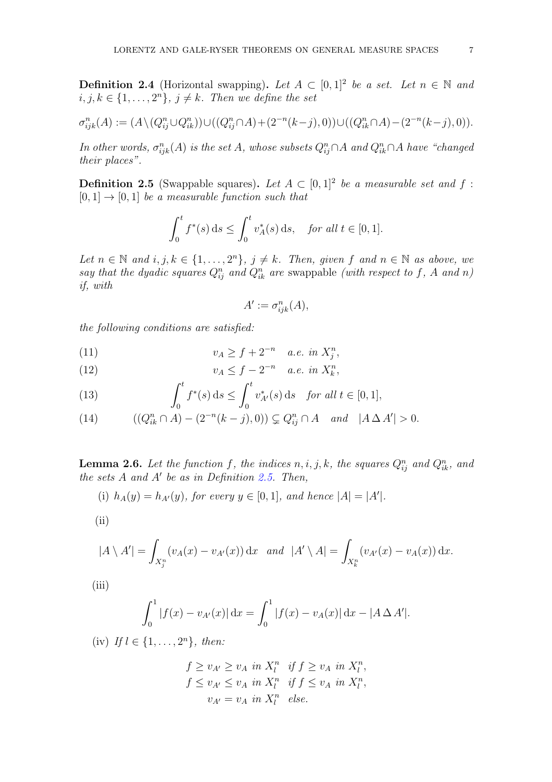**Definition 2.4** (Horizontal swapping). Let  $A \subset [0,1]^2$  be a set. Let  $n \in \mathbb{N}$  and  $i, j, k \in \{1, \ldots, 2^n\}, j \neq k$ . Then we define the set

$$
\sigma_{ijk}^n(A) := (A \setminus (Q_{ij}^n \cup Q_{ik}^n)) \cup ((Q_{ij}^n \cap A) + (2^{-n}(k-j), 0)) \cup ((Q_{ik}^n \cap A) - (2^{-n}(k-j), 0)).
$$

In other words,  $\sigma_{ijk}^n(A)$  is the set A, whose subsets  $Q_{ij}^n \cap A$  and  $Q_{ik}^n \cap A$  have "changed" their places".

<span id="page-6-0"></span>**Definition 2.5** (Swappable squares). Let  $A \subset [0,1]^2$  be a measurable set and f:  $[0, 1] \rightarrow [0, 1]$  be a measurable function such that

$$
\int_0^t f^*(s) \, ds \le \int_0^t v_A^*(s) \, ds, \quad \text{for all } t \in [0, 1].
$$

Let  $n \in \mathbb{N}$  and  $i, j, k \in \{1, ..., 2^n\}, j \neq k$ . Then, given f and  $n \in \mathbb{N}$  as above, we say that the dyadic squares  $Q_{ij}^n$  and  $Q_{ik}^n$  are swappable (with respect to f, A and n) if, with

$$
A' := \sigma_{ijk}^n(A),
$$

the following conditions are satisfied:

<span id="page-6-2"></span>(11) 
$$
v_A \ge f + 2^{-n} \quad a.e. \in X_j^n,
$$

<span id="page-6-3"></span>(12) 
$$
v_A \leq f - 2^{-n} \quad a.e. \in \mathbb{R}^{n},
$$

<span id="page-6-5"></span>(13) 
$$
\int_0^t f^*(s) ds \le \int_0^t v_{A'}^*(s) ds \text{ for all } t \in [0,1],
$$

<span id="page-6-1"></span>(14) 
$$
((Q_{ik}^n \cap A) - (2^{-n}(k-j),0)) \subsetneq Q_{ij}^n \cap A \quad and \quad |A \Delta A'| > 0.
$$

<span id="page-6-4"></span>**Lemma 2.6.** Let the function f, the indices  $n, i, j, k$ , the squares  $Q_{ij}^n$  and  $Q_{ik}^n$ , and the sets  $A$  and  $A'$  be as in Definition [2.5.](#page-6-0) Then,

(i) 
$$
h_A(y) = h_{A'}(y)
$$
, for every  $y \in [0, 1]$ , and hence  $|A| = |A'|$ .

(ii)

$$
|A \setminus A'| = \int_{X_j^n} (v_A(x) - v_{A'}(x)) dx \text{ and } |A' \setminus A| = \int_{X_k^n} (v_{A'}(x) - v_A(x)) dx.
$$

 $(iii)$ 

$$
\int_0^1 |f(x) - v_{A'}(x)| dx = \int_0^1 |f(x) - v_A(x)| dx - |A \Delta A'|.
$$

(iv) If  $l \in \{1, ..., 2^n\}$ , then:

$$
f \ge v_{A'} \ge v_A \text{ in } X_l^n \text{ if } f \ge v_A \text{ in } X_l^n,
$$
  

$$
f \le v_{A'} \le v_A \text{ in } X_l^n \text{ if } f \le v_A \text{ in } X_l^n,
$$
  

$$
v_{A'} = v_A \text{ in } X_l^n \text{ else.}
$$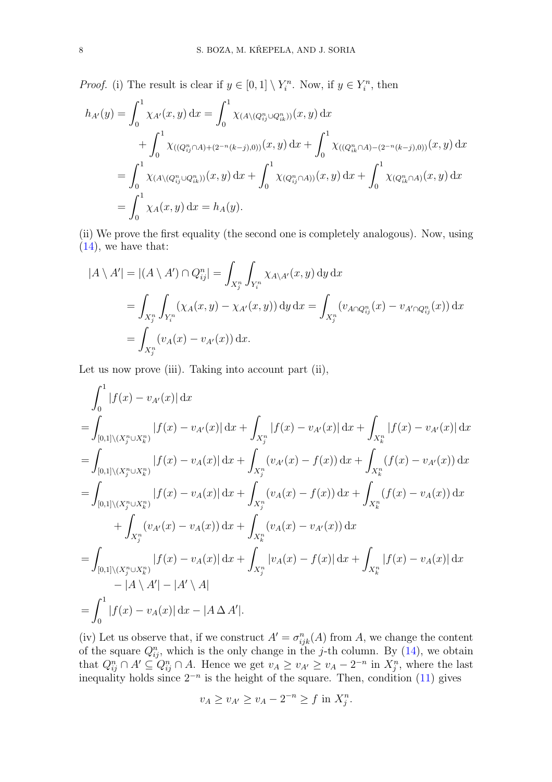*Proof.* (i) The result is clear if  $y \in [0,1] \setminus Y_i^n$ . Now, if  $y \in Y_i^n$ , then

$$
h_{A'}(y) = \int_0^1 \chi_{A'}(x, y) dx = \int_0^1 \chi_{(A \setminus (Q_{ij}^n \cup Q_{ik}^n))}(x, y) dx
$$
  
+ 
$$
\int_0^1 \chi_{((Q_{ij}^n \cap A) + (2^{-n}(k-j), 0))}(x, y) dx + \int_0^1 \chi_{((Q_{ik}^n \cap A) - (2^{-n}(k-j), 0))}(x, y) dx
$$
  
= 
$$
\int_0^1 \chi_{(A \setminus (Q_{ij}^n \cup Q_{ik}^n))}(x, y) dx + \int_0^1 \chi_{(Q_{ij}^n \cap A)(x, y)}(x, y) dx + \int_0^1 \chi_{(Q_{ik}^n \cap A)}(x, y) dx
$$
  
= 
$$
\int_0^1 \chi_A(x, y) dx = h_A(y).
$$

(ii) We prove the first equality (the second one is completely analogous). Now, using [\(14\)](#page-6-1), we have that:

$$
|A \setminus A'| = |(A \setminus A') \cap Q_{ij}^n| = \int_{X_j^n} \int_{Y_i^n} \chi_{A \setminus A'}(x, y) \, dy \, dx
$$
  
= 
$$
\int_{X_j^n} \int_{Y_i^n} (\chi_A(x, y) - \chi_{A'}(x, y)) \, dy \, dx = \int_{X_j^n} (v_{A \cap Q_{ij}^n}(x) - v_{A' \cap Q_{ij}^n}(x)) \, dx
$$
  
= 
$$
\int_{X_j^n} (v_A(x) - v_{A'}(x)) \, dx.
$$

Let us now prove (iii). Taking into account part (ii),

$$
\int_{0}^{1} |f(x) - v_{A'}(x)| dx
$$
\n=
$$
\int_{[0,1]\backslash (X_{j}^{n}\cup X_{k}^{n})} |f(x) - v_{A'}(x)| dx + \int_{X_{j}^{n}} |f(x) - v_{A'}(x)| dx + \int_{X_{k}^{n}} |f(x) - v_{A'}(x)| dx
$$
\n=
$$
\int_{[0,1]\backslash (X_{j}^{n}\cup X_{k}^{n})} |f(x) - v_{A}(x)| dx + \int_{X_{j}^{n}} (v_{A'}(x) - f(x)) dx + \int_{X_{k}^{n}} (f(x) - v_{A'}(x)) dx
$$
\n=
$$
\int_{[0,1]\backslash (X_{j}^{n}\cup X_{k}^{n})} |f(x) - v_{A}(x)| dx + \int_{X_{j}^{n}} (v_{A}(x) - f(x)) dx + \int_{X_{k}^{n}} (f(x) - v_{A}(x)) dx
$$
\n+ 
$$
\int_{X_{j}^{n}} (v_{A'}(x) - v_{A}(x)) dx + \int_{X_{k}^{n}} (v_{A}(x) - v_{A'}(x)) dx
$$
\n=
$$
\int_{[0,1]\backslash (X_{j}^{n}\cup X_{k}^{n})} |f(x) - v_{A}(x)| dx + \int_{X_{j}^{n}} |v_{A}(x) - f(x)| dx + \int_{X_{k}^{n}} |f(x) - v_{A}(x)| dx
$$
\n- 
$$
|A \setminus A'| - |A' \setminus A|
$$
\n=
$$
\int_{0}^{1} |f(x) - v_{A}(x)| dx - |A \Delta A'|.
$$

(iv) Let us observe that, if we construct  $A' = \sigma_{ijk}^n(A)$  from A, we change the content of the square  $Q_{ij}^n$ , which is the only change in the j-th column. By [\(14\)](#page-6-1), we obtain that  $Q_{ij}^n \cap A' \subseteq Q_{ij}^n \cap A$ . Hence we get  $v_A \ge v_{A'} \ge v_A - 2^{-n}$  in  $X_j^n$ , where the last inequality holds since  $2^{-n}$  is the height of the square. Then, condition [\(11\)](#page-6-2) gives

$$
v_A \ge v_{A'} \ge v_A - 2^{-n} \ge f \text{ in } X_j^n.
$$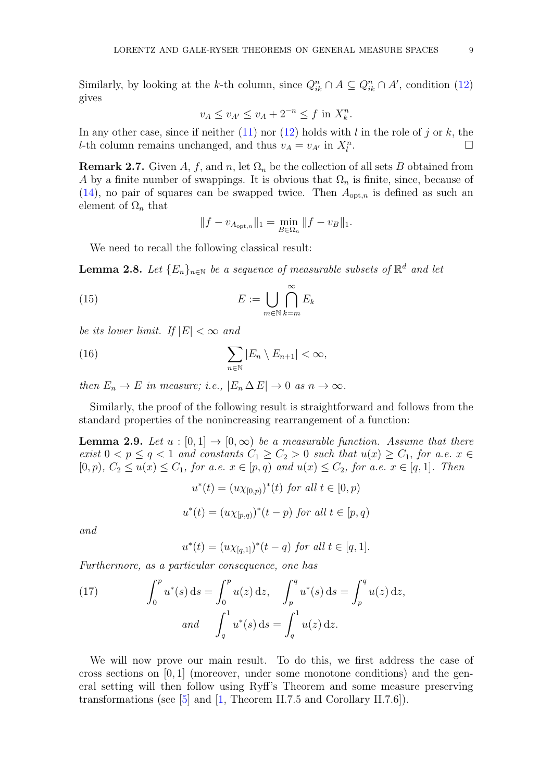Similarly, by looking at the k-th column, since  $Q_{ik}^n \cap A \subseteq Q_{ik}^n \cap A'$ , condition [\(12\)](#page-6-3) gives

$$
v_A \le v_{A'} \le v_A + 2^{-n} \le f
$$
 in  $X_k^n$ .

In any other case, since if neither  $(11)$  nor  $(12)$  holds with l in the role of j or k, the *l*-th column remains unchanged, and thus  $v_A = v_{A'}$  in  $X_l^n$ .

<span id="page-8-0"></span>**Remark 2.7.** Given A, f, and n, let  $\Omega_n$  be the collection of all sets B obtained from A by a finite number of swappings. It is obvious that  $\Omega_n$  is finite, since, because of  $(14)$ , no pair of squares can be swapped twice. Then  $A_{\text{opt},n}$  is defined as such an element of  $\Omega_n$  that

<span id="page-8-1"></span>
$$
||f - v_{A_{\text{opt},n}}||_1 = \min_{B \in \Omega_n} ||f - v_B||_1.
$$

We need to recall the following classical result:

<span id="page-8-2"></span>**Lemma 2.8.** Let  ${E_n}_{n \in \mathbb{N}}$  be a sequence of measurable subsets of  $\mathbb{R}^d$  and let

(15) 
$$
E := \bigcup_{m \in \mathbb{N}} \bigcap_{k=m}^{\infty} E_k
$$

be its lower limit. If  $|E| < \infty$  and

(16) 
$$
\sum_{n\in\mathbb{N}}|E_n\setminus E_{n+1}|<\infty,
$$

then  $E_n \to E$  in measure; i.e.,  $|E_n \Delta E| \to 0$  as  $n \to \infty$ .

Similarly, the proof of the following result is straightforward and follows from the standard properties of the nonincreasing rearrangement of a function:

<span id="page-8-3"></span>**Lemma 2.9.** Let  $u : [0,1] \rightarrow [0,\infty)$  be a measurable function. Assume that there exist  $0 < p \le q < 1$  and constants  $C_1 \ge C_2 > 0$  such that  $u(x) \ge C_1$ , for a.e.  $x \in$  $[0, p), C_2 \le u(x) \le C_1$ , for a.e.  $x \in [p, q)$  and  $u(x) \le C_2$ , for a.e.  $x \in [q, 1]$ . Then

$$
u^*(t) = (u\chi_{[0,p)})^*(t) \text{ for all } t \in [0,p)
$$
  

$$
u^*(t) = (u\chi_{[p,q)})^*(t-p) \text{ for all } t \in [p,q)
$$

and

$$
u^*(t) = (u\chi_{[q,1]})^*(t-q) \text{ for all } t \in [q,1].
$$

Furthermore, as a particular consequence, one has

(17) 
$$
\int_0^p u^*(s) ds = \int_0^p u(z) dz, \quad \int_p^q u^*(s) ds = \int_p^q u(z) dz,
$$
  
and 
$$
\int_q^1 u^*(s) ds = \int_q^1 u(z) dz.
$$

We will now prove our main result. To do this, we first address the case of cross sections on  $[0,1]$  (moreover, under some monotone conditions) and the general setting will then follow using Ryff's Theorem and some measure preserving transformations (see [\[5\]](#page-18-7) and [\[1,](#page-18-3) Theorem II.7.5 and Corollary II.7.6]).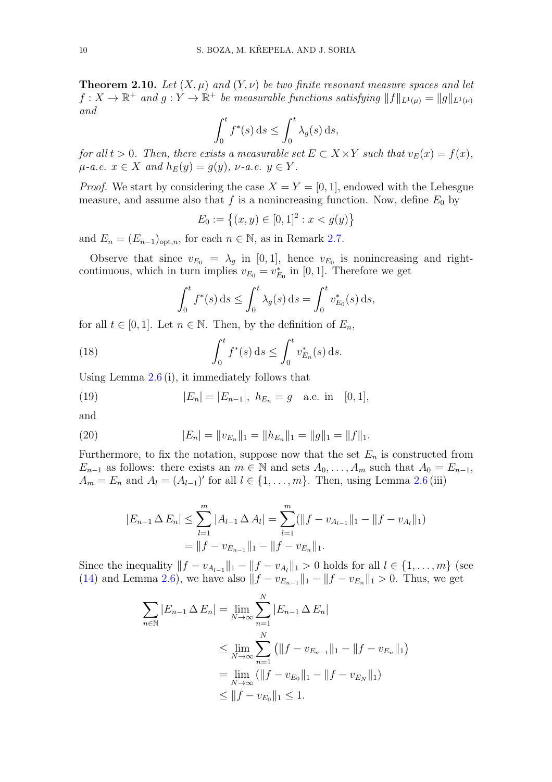<span id="page-9-0"></span>**Theorem 2.10.** Let  $(X, \mu)$  and  $(Y, \nu)$  be two finite resonant measure spaces and let  $f: X \to \mathbb{R}^+$  and  $g: Y \to \mathbb{R}^+$  be measurable functions satisfying  $||f||_{L^1(\mu)} = ||g||_{L^1(\nu)}$ and

$$
\int_0^t f^*(s) \, ds \le \int_0^t \lambda_g(s) \, ds,
$$

for all  $t > 0$ . Then, there exists a measurable set  $E \subset X \times Y$  such that  $v_E(x) = f(x)$ ,  $\mu$ -a.e.  $x \in X$  and  $h_E(y) = g(y)$ ,  $\nu$ -a.e.  $y \in Y$ .

*Proof.* We start by considering the case  $X = Y = [0, 1]$ , endowed with the Lebesgue measure, and assume also that f is a nonincreasing function. Now, define  $E_0$  by

$$
E_0 := \left\{ (x, y) \in [0, 1]^2 : x < g(y) \right\}
$$

and  $E_n = (E_{n-1})_{\text{opt.}n}$ , for each  $n \in \mathbb{N}$ , as in Remark [2.7.](#page-8-0)

Observe that since  $v_{E_0} = \lambda_g$  in [0, 1], hence  $v_{E_0}$  is nonincreasing and rightcontinuous, which in turn implies  $v_{E_0} = v_{E_0}^*$  in [0, 1]. Therefore we get

<span id="page-9-3"></span>
$$
\int_0^t f^*(s) \, ds \le \int_0^t \lambda_g(s) \, ds = \int_0^t v_{E_0}^*(s) \, ds,
$$

for all  $t \in [0, 1]$ . Let  $n \in \mathbb{N}$ . Then, by the definition of  $E_n$ ,

(18) 
$$
\int_0^t f^*(s) ds \le \int_0^t v_{E_n}^*(s) ds.
$$

Using Lemma [2.6](#page-6-4) (i), it immediately follows that

<span id="page-9-1"></span>(19) 
$$
|E_n| = |E_{n-1}|, \ h_{E_n} = g \quad \text{a.e. in} \quad [0,1],
$$

and

(20) 
$$
|E_n| = ||v_{E_n}||_1 = ||h_{E_n}||_1 = ||g||_1 = ||f||_1.
$$

Furthermore, to fix the notation, suppose now that the set  $E_n$  is constructed from  $E_{n-1}$  as follows: there exists an  $m \in \mathbb{N}$  and sets  $A_0, \ldots, A_m$  such that  $A_0 = E_{n-1}$ ,  $A_m = E_n$  and  $A_l = (A_{l-1})'$  for all  $l \in \{1, \ldots, m\}$ . Then, using Lemma [2.6](#page-6-4) (iii)

<span id="page-9-2"></span>
$$
|E_{n-1} \Delta E_n| \le \sum_{l=1}^m |A_{l-1} \Delta A_l| = \sum_{l=1}^m (\|f - v_{A_{l-1}}\|_1 - \|f - v_{A_l}\|_1)
$$
  
=  $||f - v_{E_{n-1}}||_1 - \|f - v_{E_n}||_1.$ 

Since the inequality  $||f - v_{A_{l-1}}||_1 - ||f - v_{A_l}||_1 > 0$  holds for all  $l \in \{1, ..., m\}$  (see [\(14\)](#page-6-1) and Lemma [2.6\)](#page-6-4), we have also  $||f - v_{E_{n-1}}||_1 - ||f - v_{E_n}||_1 > 0$ . Thus, we get

$$
\sum_{n \in \mathbb{N}} |E_{n-1} \Delta E_n| = \lim_{N \to \infty} \sum_{n=1}^N |E_{n-1} \Delta E_n|
$$
  
\n
$$
\leq \lim_{N \to \infty} \sum_{n=1}^N (||f - v_{E_{n-1}}||_1 - ||f - v_{E_n}||_1)
$$
  
\n
$$
= \lim_{N \to \infty} (||f - v_{E_0}||_1 - ||f - v_{E_N}||_1)
$$
  
\n
$$
\leq ||f - v_{E_0}||_1 \leq 1.
$$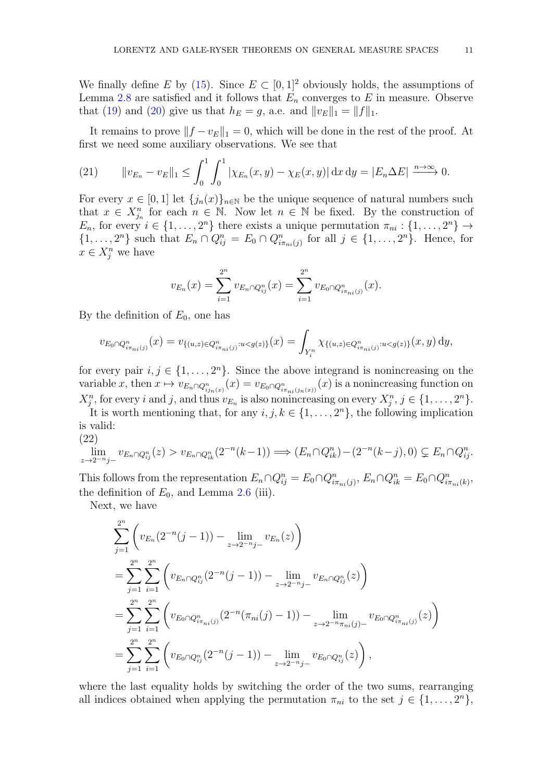We finally define E by [\(15\)](#page-8-1). Since  $E \subset [0,1]^2$  obviously holds, the assumptions of Lemma [2.8](#page-8-2) are satisfied and it follows that  $E_n$  converges to E in measure. Observe that [\(19\)](#page-9-1) and [\(20\)](#page-9-2) give us that  $h_E = g$ , a.e. and  $||v_E||_1 = ||f||_1$ .

It remains to prove  $||f - v_E||_1 = 0$ , which will be done in the rest of the proof. At first we need some auxiliary observations. We see that

<span id="page-10-0"></span>(21) 
$$
\|v_{E_n} - v_E\|_1 \le \int_0^1 \int_0^1 |\chi_{E_n}(x, y) - \chi_E(x, y)| \,dx \,dy = |E_n \Delta E| \xrightarrow{n \to \infty} 0.
$$

For every  $x \in [0,1]$  let  $\{j_n(x)\}_{n\in\mathbb{N}}$  be the unique sequence of natural numbers such that  $x \in X_{j_n}^n$  for each  $n \in \mathbb{N}$ . Now let  $n \in \mathbb{N}$  be fixed. By the construction of  $E_n$ , for every  $i \in \{1, ..., 2^n\}$  there exists a unique permutation  $\pi_{ni} : \{1, ..., 2^n\} \to$  $\{1,\ldots,2^n\}$  such that  $E_n \cap Q_{ij}^n = E_0 \cap Q_{i\pi_{ni}(j)}^n$  for all  $j \in \{1,\ldots,2^n\}$ . Hence, for  $x \in X_j^n$  we have

$$
v_{E_n}(x) = \sum_{i=1}^{2^n} v_{E_n \cap Q_{ij}^n}(x) = \sum_{i=1}^{2^n} v_{E_0 \cap Q_{i\pi_{ni}(j)}^n}(x).
$$

By the definition of  $E_0$ , one has

$$
v_{E_0 \cap Q_{i\pi_{ni}(j)}^n}(x) = v_{\{(u,z) \in Q_{i\pi_{ni}(j)}^n : u < g(z)\}}(x) = \int_{Y_i^n} \chi_{\{(u,z) \in Q_{i\pi_{ni}(j)}^n : u < g(z)\}}(x, y) \, dy,
$$

for every pair  $i, j \in \{1, ..., 2<sup>n</sup>\}$ . Since the above integrand is nonincreasing on the variable x, then  $x \mapsto v_{E_n \cap Q_{ij_n(x)}^n}(x) = v_{E_0 \cap Q_{i\pi_{ni}(j_n(x))}^n}(x)$  is a nonincreasing function on  $X_j^n$ , for every i and j, and thus  $v_{E_n}$  is also nonincreasing on every  $X_j^n$ ,  $j \in \{1, \ldots, 2^n\}$ .

It is worth mentioning that, for any  $i, j, k \in \{1, ..., 2<sup>n</sup>\}$ , the following implication is valid:

(22)

<span id="page-10-1"></span>
$$
\lim_{z \to 2^{-n}j^{-}} v_{E_n \cap Q_{ij}^n}(z) > v_{E_n \cap Q_{ik}^n}(2^{-n}(k-1)) \Longrightarrow (E_n \cap Q_{ik}^n) - (2^{-n}(k-j), 0) \subsetneq E_n \cap Q_{ij}^n.
$$

This follows from the representation  $E_n \cap Q_{ij}^n = E_0 \cap Q_{i\pi_{ni}(j)}^n$ ,  $E_n \cap Q_{ik}^n = E_0 \cap Q_{i\pi_{ni}(k)}^n$ , the definition of  $E_0$ , and Lemma [2.6](#page-6-4) (iii).

Next, we have

$$
\sum_{j=1}^{2^n} \left( v_{E_n}(2^{-n}(j-1)) - \lim_{z \to 2^{-n}j-} v_{E_n}(z) \right)
$$
\n
$$
= \sum_{j=1}^{2^n} \sum_{i=1}^{2^n} \left( v_{E_n \cap Q_{ij}^n}(2^{-n}(j-1)) - \lim_{z \to 2^{-n}j-} v_{E_n \cap Q_{ij}^n}(z) \right)
$$
\n
$$
= \sum_{j=1}^{2^n} \sum_{i=1}^{2^n} \left( v_{E_0 \cap Q_{i\pi_{ni}(j)}^n}(2^{-n}(\pi_{ni}(j)-1)) - \lim_{z \to 2^{-n}j\pi_{ni}(j)-} v_{E_0 \cap Q_{i\pi_{ni}(j)}^n}(z) \right)
$$
\n
$$
= \sum_{j=1}^{2^n} \sum_{i=1}^{2^n} \left( v_{E_0 \cap Q_{ij}^n}(2^{-n}(j-1)) - \lim_{z \to 2^{-n}j-} v_{E_0 \cap Q_{ij}^n}(z) \right),
$$

where the last equality holds by switching the order of the two sums, rearranging all indices obtained when applying the permutation  $\pi_{ni}$  to the set  $j \in \{1, \ldots, 2^n\},$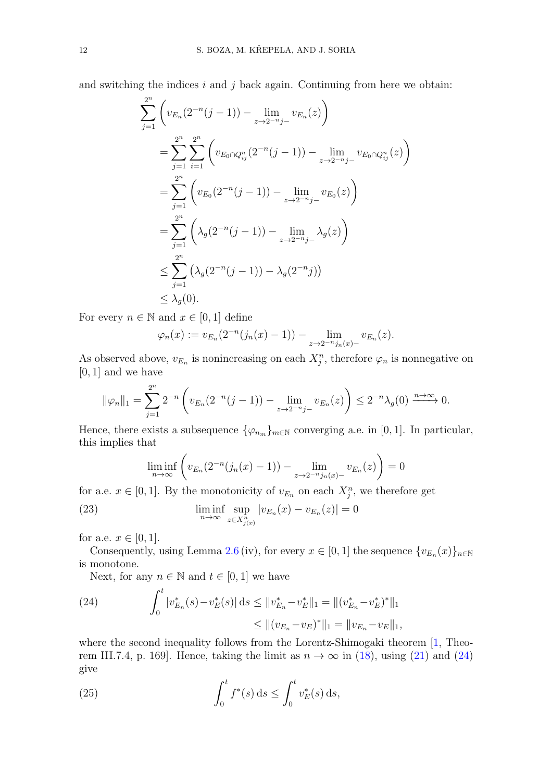and switching the indices  $i$  and  $j$  back again. Continuing from here we obtain:

$$
\sum_{j=1}^{2^n} \left( v_{E_n}(2^{-n}(j-1)) - \lim_{z \to 2^{-n}j^-} v_{E_n}(z) \right)
$$
  
\n
$$
= \sum_{j=1}^{2^n} \sum_{i=1}^{2^n} \left( v_{E_0 \cap Q_{ij}^n}(2^{-n}(j-1)) - \lim_{z \to 2^{-n}j^-} v_{E_0 \cap Q_{ij}^n}(z) \right)
$$
  
\n
$$
= \sum_{j=1}^{2^n} \left( v_{E_0}(2^{-n}(j-1)) - \lim_{z \to 2^{-n}j^-} v_{E_0}(z) \right)
$$
  
\n
$$
= \sum_{j=1}^{2^n} \left( \lambda_g(2^{-n}(j-1)) - \lim_{z \to 2^{-n}j^-} \lambda_g(z) \right)
$$
  
\n
$$
\leq \sum_{j=1}^{2^n} \left( \lambda_g(2^{-n}(j-1)) - \lambda_g(2^{-n}j) \right)
$$
  
\n
$$
\leq \lambda_g(0).
$$

For every  $n \in \mathbb{N}$  and  $x \in [0, 1]$  define

$$
\varphi_n(x) := v_{E_n}(2^{-n}(j_n(x)-1)) - \lim_{z \to 2^{-n}j_n(x)-} v_{E_n}(z).
$$

As observed above,  $v_{E_n}$  is nonincreasing on each  $X_j^n$ , therefore  $\varphi_n$  is nonnegative on  $[0, 1]$  and we have

$$
\|\varphi_n\|_1 = \sum_{j=1}^{2^n} 2^{-n} \left( v_{E_n}(2^{-n}(j-1)) - \lim_{z \to 2^{-n}j^-} v_{E_n}(z) \right) \le 2^{-n} \lambda_g(0) \xrightarrow{n \to \infty} 0.
$$

Hence, there exists a subsequence  $\{\varphi_{n_m}\}_{m\in\mathbb{N}}$  converging a.e. in [0, 1]. In particular, this implies that

<span id="page-11-1"></span>
$$
\liminf_{n \to \infty} \left( v_{E_n}(2^{-n}(j_n(x)-1)) - \lim_{z \to 2^{-n}j_n(x)-} v_{E_n}(z) \right) = 0
$$

for a.e.  $x \in [0,1]$ . By the monotonicity of  $v_{E_n}$  on each  $X_j^n$ , we therefore get

(23) 
$$
\liminf_{n \to \infty} \sup_{z \in X_{j(x)}^n} |v_{E_n}(x) - v_{E_n}(z)| = 0
$$

for a.e.  $x \in [0, 1]$ .

Consequently, using Lemma [2.6](#page-6-4) (iv), for every  $x \in [0,1]$  the sequence  $\{v_{E_n}(x)\}_{n \in \mathbb{N}}$ is monotone.

Next, for any  $n \in \mathbb{N}$  and  $t \in [0, 1]$  we have

<span id="page-11-0"></span>(24) 
$$
\int_0^t |v_{E_n}^*(s) - v_E^*(s)| ds \le ||v_{E_n}^* - v_E^*||_1 = ||(v_{E_n}^* - v_E^*)^*||_1
$$

$$
\le ||(v_{E_n} - v_E)^*||_1 = ||v_{E_n} - v_E||_1,
$$

where the second inequality follows from the Lorentz-Shimogaki theorem [\[1,](#page-18-3) Theorem III.7.4, p. 169]. Hence, taking the limit as  $n \to \infty$  in [\(18\)](#page-9-3), using [\(21\)](#page-10-0) and [\(24\)](#page-11-0) give

<span id="page-11-2"></span>(25) 
$$
\int_0^t f^*(s) \, ds \le \int_0^t v_E^*(s) \, ds,
$$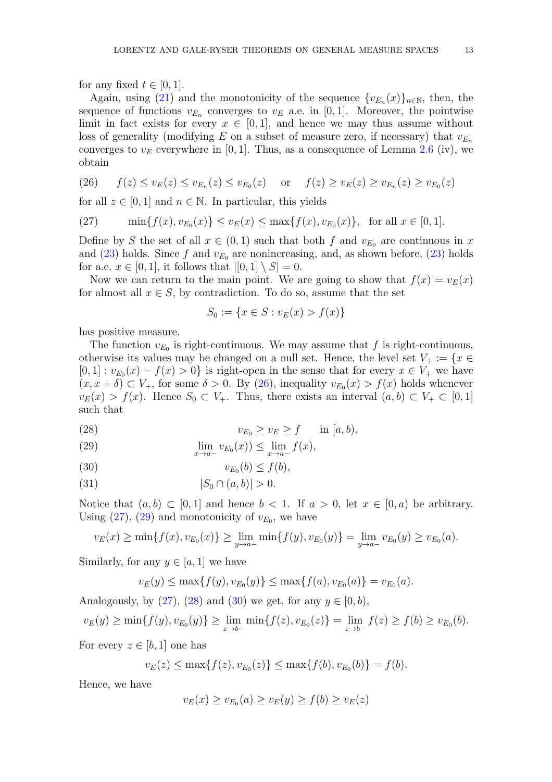for any fixed  $t \in [0, 1]$ .

Again, using [\(21\)](#page-10-0) and the monotonicity of the sequence  ${v_{E_n}(x)}_{n \in \mathbb{N}}$ , then, then sequence of functions  $v_{E_n}$  converges to  $v_E$  a.e. in [0, 1]. Moreover, the pointwise limit in fact exists for every  $x \in [0,1]$ , and hence we may thus assume without loss of generality (modifying E on a subset of measure zero, if necessary) that  $v_{E_n}$ converges to  $v<sub>E</sub>$  everywhere in [0, 1]. Thus, as a consequence of Lemma [2.6](#page-6-4) (iv), we obtain

<span id="page-12-0"></span>(26) 
$$
f(z) \le v_E(z) \le v_{E_n}(z) \le v_{E_0}(z)
$$
 or  $f(z) \ge v_E(z) \ge v_{E_n}(z) \ge v_{E_0}(z)$ 

for all  $z \in [0, 1]$  and  $n \in \mathbb{N}$ . In particular, this yields

<span id="page-12-1"></span>(27) 
$$
\min\{f(x), v_{E_0}(x)\} \le v_E(x) \le \max\{f(x), v_{E_0}(x)\}, \text{ for all } x \in [0, 1].
$$

Define by S the set of all  $x \in (0,1)$  such that both f and  $v_{E_0}$  are continuous in x and [\(23\)](#page-11-1) holds. Since f and  $v_{E_0}$  are nonincreasing, and, as shown before, (23) holds for a.e.  $x \in [0, 1]$ , it follows that  $|[0, 1] \setminus S] = 0$ .

Now we can return to the main point. We are going to show that  $f(x) = v<sub>E</sub>(x)$ for almost all  $x \in S$ , by contradiction. To do so, assume that the set

$$
S_0 := \{ x \in S : v_E(x) > f(x) \}
$$

has positive measure.

The function  $v_{E_0}$  is right-continuous. We may assume that f is right-continuous, otherwise its values may be changed on a null set. Hence, the level set  $V_+ := \{x \in$  $[0,1]: v_{E_0}(x) - f(x) > 0$  is right-open in the sense that for every  $x \in V_+$  we have  $(x, x + \delta) \subset V_+$ , for some  $\delta > 0$ . By [\(26\)](#page-12-0), inequality  $v_{E_0}(x) > f(x)$  holds whenever  $v_E(x) > f(x)$ . Hence  $S_0 \subset V_+$ . Thus, there exists an interval  $(a, b) \subset V_+ \subset [0, 1]$ such that

<span id="page-12-3"></span>
$$
(28) \t\t\t v_{E_0} \ge v_E \ge f \t\t\t in [a, b),
$$

<span id="page-12-2"></span>(29) 
$$
\lim_{x \to a^{-}} v_{E_0}(x) \le \lim_{x \to a^{-}} f(x),
$$

<span id="page-12-4"></span>
$$
(30) \t\t\t v_{E_0}(b) \le f(b),
$$

<span id="page-12-5"></span>(31) 
$$
|S_0 \cap (a, b)| > 0.
$$

Notice that  $(a, b) \subset [0, 1]$  and hence  $b < 1$ . If  $a > 0$ , let  $x \in [0, a)$  be arbitrary. Using  $(27)$ ,  $(29)$  and monotonicity of  $v_{E_0}$ , we have

$$
v_E(x) \ge \min\{f(x), v_{E_0}(x)\} \ge \lim_{y \to a^-} \min\{f(y), v_{E_0}(y)\} = \lim_{y \to a^-} v_{E_0}(y) \ge v_{E_0}(a).
$$

Similarly, for any  $y \in [a, 1]$  we have

$$
v_E(y) \le \max\{f(y), v_{E_0}(y)\} \le \max\{f(a), v_{E_0}(a)\} = v_{E_0}(a).
$$

Analogously, by  $(27)$ ,  $(28)$  and  $(30)$  we get, for any  $y \in [0, b)$ ,

$$
v_E(y) \ge \min\{f(y), v_{E_0}(y)\} \ge \lim_{z \to b-} \min\{f(z), v_{E_0}(z)\} = \lim_{z \to b-} f(z) \ge f(b) \ge v_{E_0}(b).
$$

For every  $z \in [b, 1]$  one has

$$
v_E(z) \le \max\{f(z), v_{E_0}(z)\} \le \max\{f(b), v_{E_0}(b)\} = f(b).
$$

Hence, we have

$$
v_E(x) \ge v_{E_0}(a) \ge v_E(y) \ge f(b) \ge v_E(z)
$$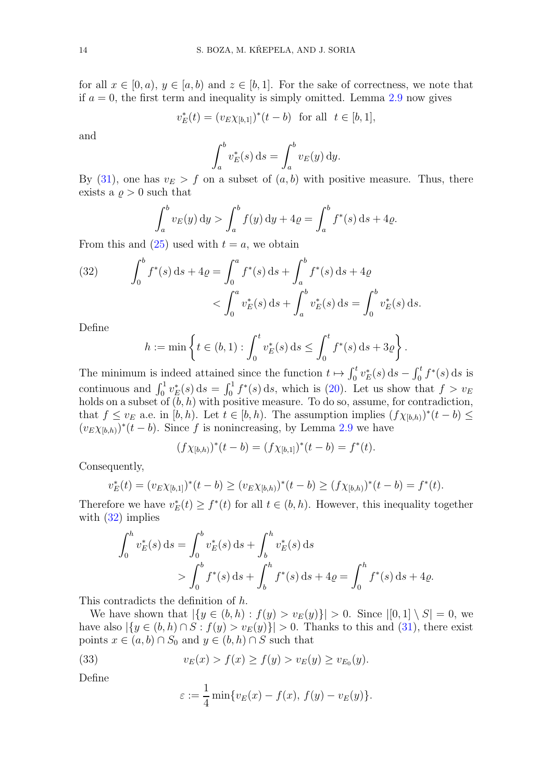for all  $x \in [0, a), y \in [a, b)$  and  $z \in [b, 1]$ . For the sake of correctness, we note that if  $a = 0$ , the first term and inequality is simply omitted. Lemma [2.9](#page-8-3) now gives

$$
v_E^*(t) = (v_E \chi_{[b,1]})^*(t - b) \text{ for all } t \in [b,1],
$$

and

$$
\int_a^b v_E^*(s) \, \mathrm{d} s = \int_a^b v_E(y) \, \mathrm{d} y.
$$

By [\(31\)](#page-12-5), one has  $v_E > f$  on a subset of  $(a, b)$  with positive measure. Thus, there exists a  $\rho > 0$  such that

$$
\int_a^b v_E(y) dy > \int_a^b f(y) dy + 4\varrho = \int_a^b f^*(s) ds + 4\varrho.
$$

From this and  $(25)$  used with  $t = a$ , we obtain

<span id="page-13-0"></span>(32) 
$$
\int_0^b f^*(s) ds + 4\varrho = \int_0^a f^*(s) ds + \int_a^b f^*(s) ds + 4\varrho
$$

$$
< \int_0^a v_E^*(s) ds + \int_a^b v_E^*(s) ds = \int_0^b v_E^*(s) ds.
$$

Define

$$
h := \min \left\{ t \in (b, 1) : \int_0^t v_E^*(s) \, ds \le \int_0^t f^*(s) \, ds + 3\varrho \right\}.
$$

The minimum is indeed attained since the function  $t \mapsto \int_0^t v_E^*(s) ds - \int_0^t f^*(s) ds$  is continuous and  $\int_0^1 v_E^*(s) ds = \int_0^1 f^*(s) ds$ , which is [\(20\)](#page-9-2). Let us show that  $f > v_E$ holds on a subset of  $(b, h)$  with positive measure. To do so, assume, for contradiction, that  $f \le v_E$  a.e. in  $[b, h)$ . Let  $t \in [b, h)$ . The assumption implies  $(f \chi_{[b,h)})^*(t - b) \le$  $(v_{E}\chi_{[b,h)})^*(t-b)$ . Since f is nonincreasing, by Lemma [2.9](#page-8-3) we have

$$
(f\chi_{[b,h)})^*(t-b) = (f\chi_{[b,1]})^*(t-b) = f^*(t).
$$

Consequently,

$$
v_E^*(t) = (v_E \chi_{[b,1]})^*(t-b) \ge (v_E \chi_{[b,h]})^*(t-b) \ge (f \chi_{[b,h]})^*(t-b) = f^*(t).
$$

Therefore we have  $v_E^*(t) \geq f^*(t)$  for all  $t \in (b, h)$ . However, this inequality together with  $(32)$  implies

$$
\int_0^h v_E^*(s) ds = \int_0^b v_E^*(s) ds + \int_b^h v_E^*(s) ds
$$
  
> 
$$
\int_0^b f^*(s) ds + \int_b^h f^*(s) ds + 4\varrho = \int_0^h f^*(s) ds + 4\varrho.
$$

This contradicts the definition of h.

We have shown that  $|\{y \in (b, h) : f(y) > v_E(y)\}| > 0$ . Since  $|[0, 1] \setminus S| = 0$ , we have also  $|\{y \in (b, h) \cap S : f(y) > v_E(y)\}| > 0$ . Thanks to this and [\(31\)](#page-12-5), there exist points  $x \in (a, b) \cap S_0$  and  $y \in (b, h) \cap S$  such that

(33) 
$$
v_E(x) > f(x) \ge f(y) > v_E(y) \ge v_{E_0}(y).
$$

Define

<span id="page-13-1"></span>
$$
\varepsilon := \frac{1}{4} \min \{ v_E(x) - f(x), \, f(y) - v_E(y) \}.
$$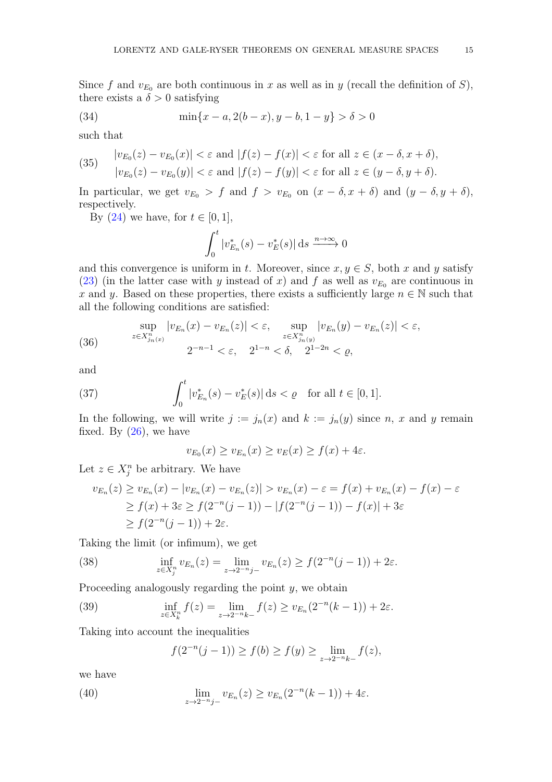Since f and  $v_{E_0}$  are both continuous in x as well as in y (recall the definition of S), there exists a  $\delta > 0$  satisfying

(34) 
$$
\min\{x-a, 2(b-x), y-b, 1-y\} > \delta > 0
$$

such that

<span id="page-14-3"></span>(35) 
$$
\begin{aligned} |v_{E_0}(z) - v_{E_0}(x)| &< \varepsilon \text{ and } |f(z) - f(x)| < \varepsilon \text{ for all } z \in (x - \delta, x + \delta), \\ |v_{E_0}(z) - v_{E_0}(y)| &< \varepsilon \text{ and } |f(z) - f(y)| < \varepsilon \text{ for all } z \in (y - \delta, y + \delta). \end{aligned}
$$

In particular, we get  $v_{E_0} > f$  and  $f > v_{E_0}$  on  $(x - \delta, x + \delta)$  and  $(y - \delta, y + \delta)$ , respectively.

By  $(24)$  we have, for  $t \in [0, 1]$ ,

$$
\int_0^t |v_{E_n}^*(s) - v_E^*(s)| \, ds \xrightarrow{n \to \infty} 0
$$

and this convergence is uniform in t. Moreover, since  $x, y \in S$ , both x and y satisfy [\(23\)](#page-11-1) (in the latter case with y instead of x) and f as well as  $v_{E_0}$  are continuous in x and y. Based on these properties, there exists a sufficiently large  $n \in \mathbb{N}$  such that all the following conditions are satisfied:

<span id="page-14-4"></span>(36) 
$$
\sup_{z \in X_{j_n(x)}^n} |v_{E_n}(x) - v_{E_n}(z)| < \varepsilon, \quad \sup_{z \in X_{j_n(y)}^n} |v_{E_n}(y) - v_{E_n}(z)| < \varepsilon,
$$
  

$$
2^{-n-1} < \varepsilon, \quad 2^{1-n} < \delta, \quad 2^{1-2n} < \varrho,
$$

and

(37) 
$$
\int_0^t |v_{E_n}^*(s) - v_E^*(s)| ds < \varrho \quad \text{for all } t \in [0, 1].
$$

In the following, we will write  $j := j_n(x)$  and  $k := j_n(y)$  since n, x and y remain fixed. By  $(26)$ , we have

<span id="page-14-5"></span>
$$
v_{E_0}(x) \ge v_{E_n}(x) \ge v_E(x) \ge f(x) + 4\varepsilon.
$$

Let  $z \in X_j^n$  be arbitrary. We have

$$
v_{E_n}(z) \ge v_{E_n}(x) - |v_{E_n}(x) - v_{E_n}(z)| > v_{E_n}(x) - \varepsilon = f(x) + v_{E_n}(x) - f(x) - \varepsilon
$$
  
\n
$$
\ge f(x) + 3\varepsilon \ge f(2^{-n}(j-1)) - |f(2^{-n}(j-1)) - f(x)| + 3\varepsilon
$$
  
\n
$$
\ge f(2^{-n}(j-1)) + 2\varepsilon.
$$

Taking the limit (or infimum), we get

<span id="page-14-1"></span>(38) 
$$
\inf_{z \in X_j^n} v_{E_n}(z) = \lim_{z \to 2^{-n}j^-} v_{E_n}(z) \ge f(2^{-n}(j-1)) + 2\varepsilon.
$$

Proceeding analogously regarding the point  $y$ , we obtain

(39) 
$$
\inf_{z \in X_k^n} f(z) = \lim_{z \to 2^{-n}k^-} f(z) \ge v_{E_n}(2^{-n}(k-1)) + 2\varepsilon.
$$

Taking into account the inequalities

<span id="page-14-2"></span><span id="page-14-0"></span>
$$
f(2^{-n}(j-1)) \ge f(b) \ge f(y) \ge \lim_{z \to 2^{-n}k^-} f(z),
$$

we have

(40) 
$$
\lim_{z \to 2^{-n}j-} v_{E_n}(z) \ge v_{E_n}(2^{-n}(k-1)) + 4\varepsilon.
$$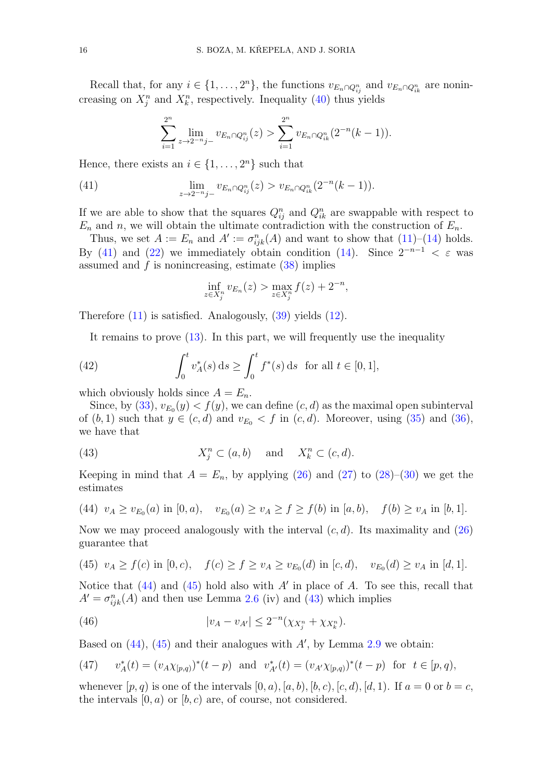Recall that, for any  $i \in \{1, \ldots, 2^n\}$ , the functions  $v_{E_n \cap Q_{ij}^n}$  and  $v_{E_n \cap Q_{ik}^n}$  are nonincreasing on  $X_j^n$  and  $X_k^n$ , respectively. Inequality [\(40\)](#page-14-0) thus yields

<span id="page-15-0"></span>
$$
\sum_{i=1}^{2^n} \lim_{z \to 2^{-n}j-} v_{E_n \cap Q_{ij}^n}(z) > \sum_{i=1}^{2^n} v_{E_n \cap Q_{ik}^n}(2^{-n}(k-1)).
$$

Hence, there exists an  $i \in \{1, \ldots, 2^n\}$  such that

(41) 
$$
\lim_{z \to 2^{-n}j^{-}} v_{E_n \cap Q_{ij}^n}(z) > v_{E_n \cap Q_{ik}^n}(2^{-n}(k-1)).
$$

If we are able to show that the squares  $Q_{ij}^n$  and  $Q_{ik}^n$  are swappable with respect to  $E_n$  and n, we will obtain the ultimate contradiction with the construction of  $E_n$ .

Thus, we set  $A := E_n$  and  $A' := \sigma_{ijk}^n(A)$  and want to show that  $(11)$ – $(14)$  holds. By [\(41\)](#page-15-0) and [\(22\)](#page-10-1) we immediately obtain condition [\(14\)](#page-6-1). Since  $2^{-n-1} < \varepsilon$  was assumed and  $f$  is nonincreasing, estimate  $(38)$  implies

<span id="page-15-5"></span>
$$
\inf_{z \in X_j^n} v_{E_n}(z) > \max_{z \in X_j^n} f(z) + 2^{-n},
$$

Therefore  $(11)$  is satisfied. Analogously,  $(39)$  yields  $(12)$ .

It remains to prove [\(13\)](#page-6-5). In this part, we will frequently use the inequality

(42) 
$$
\int_0^t v_A^*(s) ds \ge \int_0^t f^*(s) ds \text{ for all } t \in [0,1],
$$

which obviously holds since  $A = E_n$ .

Since, by [\(33\)](#page-13-1),  $v_{E_0}(y) < f(y)$ , we can define  $(c, d)$  as the maximal open subinterval of  $(b, 1)$  such that  $y \in (c, d)$  and  $v_{E_0} < f$  in  $(c, d)$ . Moreover, using [\(35\)](#page-14-3) and [\(36\)](#page-14-4), we have that

<span id="page-15-3"></span>(43) 
$$
X_j^n \subset (a, b) \quad \text{and} \quad X_k^n \subset (c, d).
$$

Keeping in mind that  $A = E_n$ , by applying [\(26\)](#page-12-0) and [\(27\)](#page-12-1) to [\(28\)](#page-12-3)–[\(30\)](#page-12-4) we get the estimates

<span id="page-15-1"></span>(44) 
$$
v_A \ge v_{E_0}(a)
$$
 in  $[0, a)$ ,  $v_{E_0}(a) \ge v_A \ge f \ge f(b)$  in  $[a, b)$ ,  $f(b) \ge v_A$  in  $[b, 1]$ .

Now we may proceed analogously with the interval  $(c, d)$ . Its maximality and  $(26)$ guarantee that

<span id="page-15-2"></span>(45) 
$$
v_A \ge f(c)
$$
 in  $[0, c)$ ,  $f(c) \ge f \ge v_A \ge v_{E_0}(d)$  in  $[c, d)$ ,  $v_{E_0}(d) \ge v_A$  in  $[d, 1]$ .

Notice that  $(44)$  and  $(45)$  hold also with A' in place of A. To see this, recall that  $A' = \sigma_{ijk}^n(A)$  and then use Lemma [2.6](#page-6-4) (iv) and [\(43\)](#page-15-3) which implies

<span id="page-15-6"></span>(46) 
$$
|v_A - v_{A'}| \le 2^{-n}(\chi_{X_j^n} + \chi_{X_k^n}).
$$

Based on  $(44)$ ,  $(45)$  and their analogues with  $A'$ , by Lemma [2.9](#page-8-3) we obtain:

<span id="page-15-4"></span>(47) 
$$
v_A^*(t) = (v_A \chi_{[p,q)})^*(t-p)
$$
 and  $v_{A'}^*(t) = (v_{A'} \chi_{[p,q)})^*(t-p)$  for  $t \in [p,q)$ ,

whenever  $[p, q)$  is one of the intervals  $[0, a), [a, b), [b, c), [c, d), [d, 1]$ . If  $a = 0$  or  $b = c$ , the intervals  $[0, a)$  or  $[b, c)$  are, of course, not considered.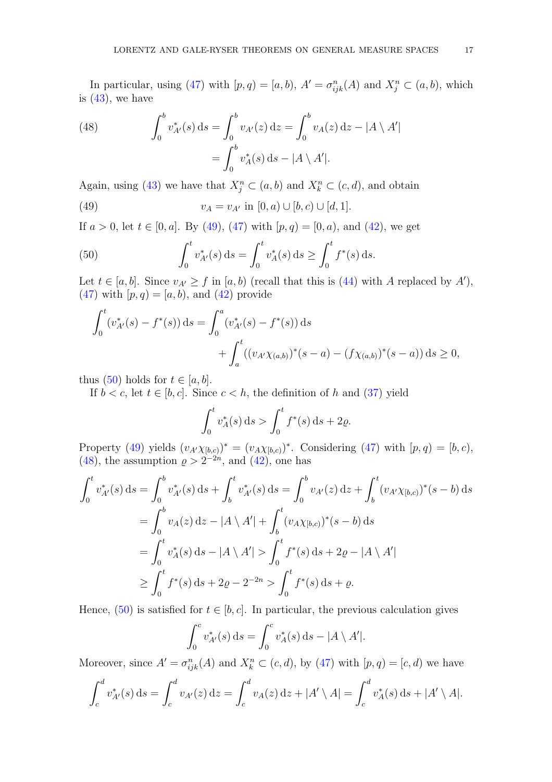In particular, using [\(47\)](#page-15-4) with  $[p, q) = [a, b), A' = \sigma_{ijk}^n(A)$  and  $X_j^n \subset (a, b)$ , which is  $(43)$ , we have

<span id="page-16-2"></span>(48) 
$$
\int_0^b v_{A'}^*(s) ds = \int_0^b v_{A'}(z) dz = \int_0^b v_A(z) dz - |A \setminus A'|
$$

$$
= \int_0^b v_A^*(s) ds - |A \setminus A'|.
$$

Again, using [\(43\)](#page-15-3) we have that  $X_j^n \subset (a, b)$  and  $X_k^n \subset (c, d)$ , and obtain

<span id="page-16-0"></span>(49) 
$$
v_A = v_{A'} \text{ in } [0, a) \cup [b, c) \cup [d, 1].
$$

If  $a > 0$ , let  $t \in [0, a]$ . By [\(49\)](#page-16-0), [\(47\)](#page-15-4) with  $[p, q) = [0, a)$ , and [\(42\)](#page-15-5), we get

<span id="page-16-1"></span>(50) 
$$
\int_0^t v_{A'}^*(s) ds = \int_0^t v_A^*(s) ds \ge \int_0^t f^*(s) ds.
$$

Let  $t \in [a, b]$ . Since  $v_{A'} \ge f$  in  $[a, b)$  (recall that this is [\(44\)](#page-15-1) with A replaced by A'), [\(47\)](#page-15-4) with  $[p, q) = [a, b)$ , and [\(42\)](#page-15-5) provide

$$
\int_0^t (v_{A'}^*(s) - f^*(s)) ds = \int_0^a (v_{A'}^*(s) - f^*(s)) ds
$$
  
+ 
$$
\int_a^t ((v_{A'}\chi_{(a,b)})^*(s-a) - (f\chi_{(a,b)})^*(s-a)) ds \ge 0,
$$

thus [\(50\)](#page-16-1) holds for  $t \in [a, b]$ .

If  $b < c$ , let  $t \in [b, c]$ . Since  $c < h$ , the definition of h and [\(37\)](#page-14-5) yield

$$
\int_0^t v_A^*(s) \, ds > \int_0^t f^*(s) \, ds + 2\varrho.
$$

Property [\(49\)](#page-16-0) yields  $(v_{A'}\chi_{[b,c)})^* = (v_{A}\chi_{[b,c)})^*$ . Considering [\(47\)](#page-15-4) with  $[p,q) = [b,c)$ , [\(48\)](#page-16-2), the assumption  $\rho > 2^{-2n}$ , and [\(42\)](#page-15-5), one has

$$
\int_0^t v_{A'}^*(s) ds = \int_0^b v_{A'}^*(s) ds + \int_b^t v_{A'}^*(s) ds = \int_0^b v_{A'}(z) dz + \int_b^t (v_{A'}\chi_{[b,c)})^*(s - b) ds
$$
  
\n
$$
= \int_0^b v_A(z) dz - |A \setminus A'| + \int_b^t (v_{A}\chi_{[b,c)})^*(s - b) ds
$$
  
\n
$$
= \int_0^t v_A^*(s) ds - |A \setminus A'| > \int_0^t f^*(s) ds + 2\varrho - |A \setminus A'|
$$
  
\n
$$
\ge \int_0^t f^*(s) ds + 2\varrho - 2^{-2n} > \int_0^t f^*(s) ds + \varrho.
$$

Hence, [\(50\)](#page-16-1) is satisfied for  $t \in [b, c]$ . In particular, the previous calculation gives

$$
\int_0^c v_{A'}^*(s) ds = \int_0^c v_A^*(s) ds - |A \setminus A'|.
$$

Moreover, since  $A' = \sigma_{ijk}^n(A)$  and  $X_k^n \subset (c, d)$ , by  $(47)$  with  $[p, q) = [c, d)$  we have

$$
\int_{c}^{d} v_{A'}^{*}(s) ds = \int_{c}^{d} v_{A'}(z) dz = \int_{c}^{d} v_{A}(z) dz + |A' \setminus A| = \int_{c}^{d} v_{A}^{*}(s) ds + |A' \setminus A|.
$$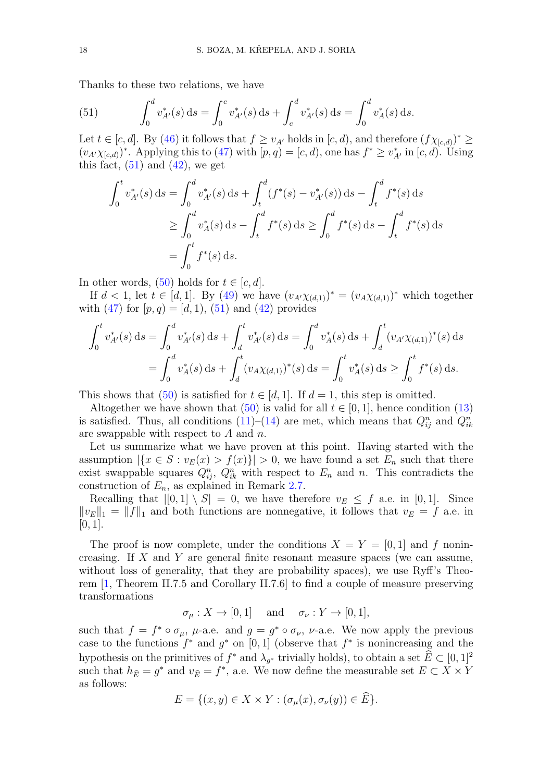Thanks to these two relations, we have

<span id="page-17-0"></span>(51) 
$$
\int_0^d v_{A'}^*(s) ds = \int_0^c v_{A'}^*(s) ds + \int_c^d v_{A'}^*(s) ds = \int_0^d v_A^*(s) ds.
$$

Let  $t \in [c, d]$ . By [\(46\)](#page-15-6) it follows that  $f \ge v_{A'}$  holds in  $[c, d)$ , and therefore  $(f \chi_{[c,d)})^* \ge$  $(v_{A'}\chi_{[c,d)})^*$ . Applying this to [\(47\)](#page-15-4) with  $[p,q) = [c,d)$ , one has  $f^* \geq v^*_{A'}$  in  $[c,d)$ . Using this fact,  $(51)$  and  $(42)$ , we get

$$
\int_0^t v_{A'}^*(s) ds = \int_0^d v_{A'}^*(s) ds + \int_t^d (f^*(s) - v_{A'}^*(s)) ds - \int_t^d f^*(s) ds
$$
  
\n
$$
\geq \int_0^d v_A^*(s) ds - \int_t^d f^*(s) ds \geq \int_0^d f^*(s) ds - \int_t^d f^*(s) ds
$$
  
\n
$$
= \int_0^t f^*(s) ds.
$$

In other words,  $(50)$  holds for  $t \in [c, d]$ .

If  $d < 1$ , let  $t \in [d, 1]$ . By [\(49\)](#page-16-0) we have  $(v_{A'}\chi_{(d,1)})^* = (v_A\chi_{(d,1)})^*$  which together with  $(47)$  for  $[p, q) = [d, 1), (51)$  $[p, q) = [d, 1), (51)$  and  $(42)$  provides

$$
\int_0^t v_{A'}^*(s) ds = \int_0^d v_{A'}^*(s) ds + \int_d^t v_{A'}^*(s) ds = \int_0^d v_A^*(s) ds + \int_d^t (v_{A'} \chi_{(d,1)})^*(s) ds
$$
  
= 
$$
\int_0^d v_A^*(s) ds + \int_d^t (v_A \chi_{(d,1)})^*(s) ds = \int_0^t v_A^*(s) ds \ge \int_0^t f^*(s) ds.
$$

This shows that [\(50\)](#page-16-1) is satisfied for  $t \in [d, 1]$ . If  $d = 1$ , this step is omitted.

Altogether we have shown that [\(50\)](#page-16-1) is valid for all  $t \in [0, 1]$ , hence condition [\(13\)](#page-6-5) is satisfied. Thus, all conditions  $(11)$ – $(14)$  are met, which means that  $Q_{ij}^n$  and  $Q_{ik}^n$ are swappable with respect to A and  $n$ .

Let us summarize what we have proven at this point. Having started with the assumption  $|\{x \in S : v_E(x) > f(x)\}| > 0$ , we have found a set  $E_n$  such that there exist swappable squares  $Q_{ij}^n$ ,  $Q_{ik}^n$  with respect to  $E_n$  and n. This contradicts the construction of  $E_n$ , as explained in Remark [2.7.](#page-8-0)

Recalling that  $|[0,1] \setminus S| = 0$ , we have therefore  $v_E \leq f$  a.e. in [0,1]. Since  $||v_E||_1 = ||f||_1$  and both functions are nonnegative, it follows that  $v_E = f$  a.e. in  $[0, 1]$ .

The proof is now complete, under the conditions  $X = Y = [0, 1]$  and f nonincreasing. If X and Y are general finite resonant measure spaces (we can assume, without loss of generality, that they are probability spaces), we use Ryff's Theorem [\[1,](#page-18-3) Theorem II.7.5 and Corollary II.7.6] to find a couple of measure preserving transformations

$$
\sigma_{\mu}: X \to [0,1]
$$
 and  $\sigma_{\nu}: Y \to [0,1],$ 

such that  $f = f^* \circ \sigma_\mu$ ,  $\mu$ -a.e. and  $g = g^* \circ \sigma_\nu$ ,  $\nu$ -a.e. We now apply the previous case to the functions  $f^*$  and  $g^*$  on [0, 1] (observe that  $f^*$  is nonincreasing and the hypothesis on the primitives of  $f^*$  and  $\lambda_{g^*}$  trivially holds), to obtain a set  $\hat{E} \subset [0, 1]^2$ such that  $h_{\widehat{E}} = g^*$  and  $v_{\widehat{E}} = f^*$ , a.e. We now define the measurable set  $E \subset X \times Y$ as follows:

$$
E = \{(x, y) \in X \times Y : (\sigma_{\mu}(x), \sigma_{\nu}(y)) \in E\}.
$$